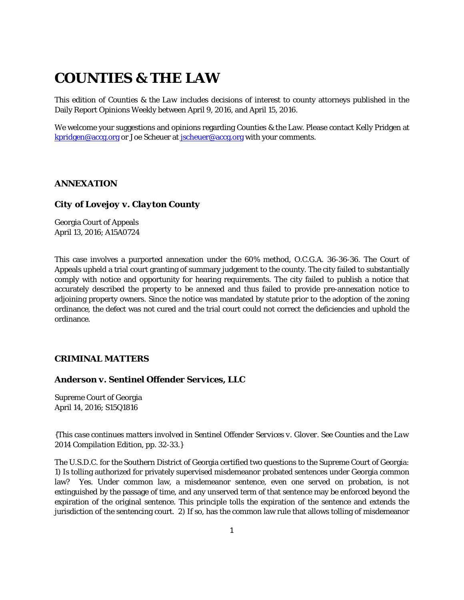# **COUNTIES & THE LAW**

This edition of *Counties & the Law* includes decisions of interest to county attorneys published in the Daily Report Opinions Weekly between April 9, 2016, and April 15, 2016.

We welcome your suggestions and opinions regarding Counties & the Law. Please contact Kelly Pridgen at [kpridgen@accg.org](mailto:kpridgen@accg.org) or Joe Scheuer at [jscheuer@accg.org](mailto:jscheuer@accg.org) with your comments.

# *ANNEXATION*

# *City of Lovejoy v. Clayton County*

Georgia Court of Appeals April 13, 2016; A15A0724

This case involves a purported annexation under the 60% method, O.C.G.A. 36-36-36. The Court of Appeals upheld a trial court granting of summary judgement to the county. The city failed to substantially comply with notice and opportunity for hearing requirements. The city failed to publish a notice that accurately described the property to be annexed and thus failed to provide pre-annexation notice to adjoining property owners. Since the notice was mandated by statute prior to the adoption of the zoning ordinance, the defect was not cured and the trial court could not correct the deficiencies and uphold the ordinance.

# *CRIMINAL MATTERS*

# *Anderson v. Sentinel Offender Services, LLC*

Supreme Court of Georgia April 14, 2016; S15Q1816

*{This case continues matters involved in Sentinel Offender Services v. Glover. See Counties and the Law 2014 Compilation Edition, pp. 32-33.}*

The U.S.D.C. for the Southern District of Georgia certified two questions to the Supreme Court of Georgia: 1) Is tolling authorized for privately supervised misdemeanor probated sentences under Georgia common law? Yes. Under common law, a misdemeanor sentence, even one served on probation, is not extinguished by the passage of time, and any unserved term of that sentence may be enforced beyond the expiration of the original sentence. This principle tolls the expiration of the sentence and extends the jurisdiction of the sentencing court. 2) If so, has the common law rule that allows tolling of misdemeanor